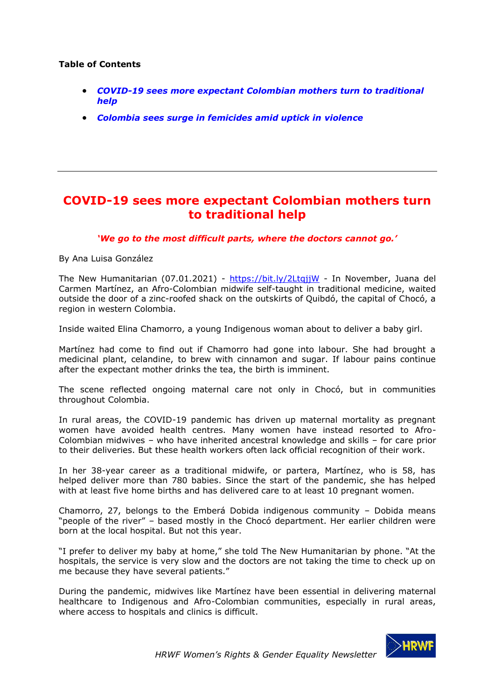## **Table of Contents**

- *[COVID-19 sees more expectant Colombian mothers turn to traditional](#page-0-0)  [help](#page-0-0)*
- *[Colombia sees surge in femicides amid uptick in violence](#page-3-0)*

## <span id="page-0-0"></span>**COVID-19 sees more expectant Colombian mothers turn to traditional help**

#### *'We go to the most difficult parts, where the doctors cannot go.'*

By Ana Luisa González

The New Humanitarian (07.01.2021) - <https://bit.ly/2LtqjjW> - In November, Juana del Carmen Martínez, an Afro-Colombian midwife self-taught in traditional medicine, waited outside the door of a zinc-roofed shack on the outskirts of Quibdó, the capital of Chocó, a region in western Colombia.

Inside waited Elina Chamorro, a young Indigenous woman about to deliver a baby girl.

Martínez had come to find out if Chamorro had gone into labour. She had brought a medicinal plant, celandine, to brew with cinnamon and sugar. If labour pains continue after the expectant mother drinks the tea, the birth is imminent.

The scene reflected ongoing maternal care not only in Chocó, but in communities throughout Colombia.

In rural areas, the COVID-19 pandemic has driven up maternal mortality as pregnant women have avoided health centres. Many women have instead resorted to Afro-Colombian midwives – who have inherited ancestral knowledge and skills – for care prior to their deliveries. But these health workers often lack official recognition of their work.

In her 38-year career as a traditional midwife, or partera, Martínez, who is 58, has helped deliver more than 780 babies. Since the start of the pandemic, she has helped with at least five home births and has delivered care to at least 10 pregnant women.

Chamorro, 27, belongs to the Emberá Dobida indigenous community – Dobida means "people of the river" – based mostly in the Chocó department. Her earlier children were born at the local hospital. But not this year.

"I prefer to deliver my baby at home," she told The New Humanitarian by phone. "At the hospitals, the service is very slow and the doctors are not taking the time to check up on me because they have several patients."

During the pandemic, midwives like Martínez have been essential in delivering maternal healthcare to Indigenous and Afro-Colombian communities, especially in rural areas, where access to hospitals and clinics is difficult.

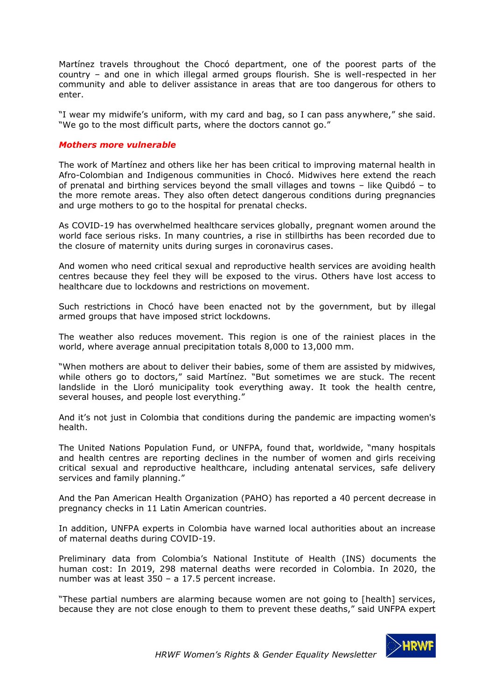Martínez travels throughout the Chocó department, one of the poorest parts of the country – and one in which illegal armed groups flourish. She is well-respected in her community and able to deliver assistance in areas that are too dangerous for others to enter.

"I wear my midwife's uniform, with my card and bag, so I can pass anywhere," she said. "We go to the most difficult parts, where the doctors cannot go."

### *Mothers more vulnerable*

The work of Martínez and others like her has been critical to improving maternal health in Afro-Colombian and Indigenous communities in Chocó. Midwives here extend the reach of prenatal and birthing services beyond the small villages and towns – like Quibdó – to the more remote areas. They also often detect dangerous conditions during pregnancies and urge mothers to go to the hospital for prenatal checks.

As COVID-19 has overwhelmed healthcare services globally, pregnant women around the world face serious risks. In many countries, a rise in stillbirths has been recorded due to the closure of maternity units during surges in coronavirus cases.

And women who need critical sexual and reproductive health services are avoiding health centres because they feel they will be exposed to the virus. Others have lost access to healthcare due to lockdowns and restrictions on movement.

Such restrictions in Chocó have been enacted not by the government, but by illegal armed groups that have imposed strict lockdowns.

The weather also reduces movement. This region is one of the rainiest places in the world, where average annual precipitation totals 8,000 to 13,000 mm.

"When mothers are about to deliver their babies, some of them are assisted by midwives, while others go to doctors," said Martínez. "But sometimes we are stuck. The recent landslide in the Lloró municipality took everything away. It took the health centre, several houses, and people lost everything."

And it's not just in Colombia that conditions during the pandemic are impacting women's health.

The United Nations Population Fund, or UNFPA, found that, worldwide, "many hospitals and health centres are reporting declines in the number of women and girls receiving critical sexual and reproductive healthcare, including antenatal services, safe delivery services and family planning."

And the Pan American Health Organization (PAHO) has reported a 40 percent decrease in pregnancy checks in 11 Latin American countries.

In addition, UNFPA experts in Colombia have warned local authorities about an increase of maternal deaths during COVID-19.

Preliminary data from Colombia's National Institute of Health (INS) documents the human cost: In 2019, 298 maternal deaths were recorded in Colombia. In 2020, the number was at least 350 – a 17.5 percent increase.

"These partial numbers are alarming because women are not going to [health] services, because they are not close enough to them to prevent these deaths," said UNFPA expert

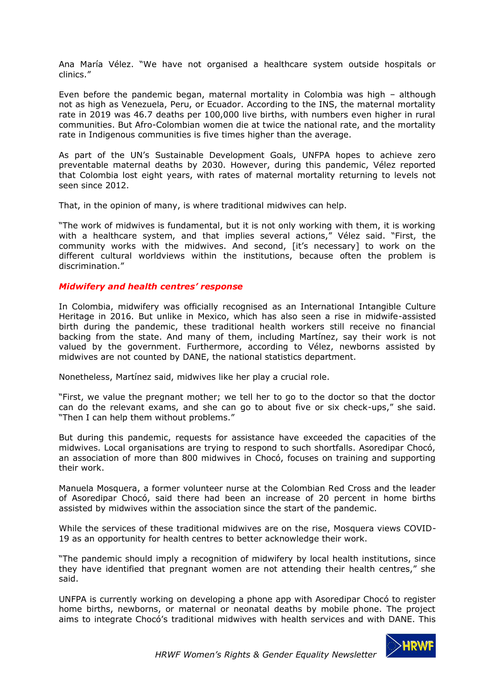Ana María Vélez. "We have not organised a healthcare system outside hospitals or clinics."

Even before the pandemic began, maternal mortality in Colombia was high – although not as high as Venezuela, Peru, or Ecuador. According to the INS, the maternal mortality rate in 2019 was 46.7 deaths per 100,000 live births, with numbers even higher in rural communities. But Afro-Colombian women die at twice the national rate, and the mortality rate in Indigenous communities is five times higher than the average.

As part of the UN's Sustainable Development Goals, UNFPA hopes to achieve zero preventable maternal deaths by 2030. However, during this pandemic, Vélez reported that Colombia lost eight years, with rates of maternal mortality returning to levels not seen since 2012.

That, in the opinion of many, is where traditional midwives can help.

"The work of midwives is fundamental, but it is not only working with them, it is working with a healthcare system, and that implies several actions," Vélez said. "First, the community works with the midwives. And second, [it's necessary] to work on the different cultural worldviews within the institutions, because often the problem is discrimination."

#### *Midwifery and health centres' response*

In Colombia, midwifery was officially recognised as an International Intangible Culture Heritage in 2016. But unlike in Mexico, which has also seen a rise in midwife-assisted birth during the pandemic, these traditional health workers still receive no financial backing from the state. And many of them, including Martínez, say their work is not valued by the government. Furthermore, according to Vélez, newborns assisted by midwives are not counted by DANE, the national statistics department.

Nonetheless, Martínez said, midwives like her play a crucial role.

"First, we value the pregnant mother; we tell her to go to the doctor so that the doctor can do the relevant exams, and she can go to about five or six check-ups," she said. "Then I can help them without problems."

But during this pandemic, requests for assistance have exceeded the capacities of the midwives. Local organisations are trying to respond to such shortfalls. Asoredipar Chocó, an association of more than 800 midwives in Chocó, focuses on training and supporting their work.

Manuela Mosquera, a former volunteer nurse at the Colombian Red Cross and the leader of Asoredipar Chocó, said there had been an increase of 20 percent in home births assisted by midwives within the association since the start of the pandemic.

While the services of these traditional midwives are on the rise, Mosquera views COVID-19 as an opportunity for health centres to better acknowledge their work.

"The pandemic should imply a recognition of midwifery by local health institutions, since they have identified that pregnant women are not attending their health centres," she said.

UNFPA is currently working on developing a phone app with Asoredipar Chocó to register home births, newborns, or maternal or neonatal deaths by mobile phone. The project aims to integrate Chocó's traditional midwives with health services and with DANE. This

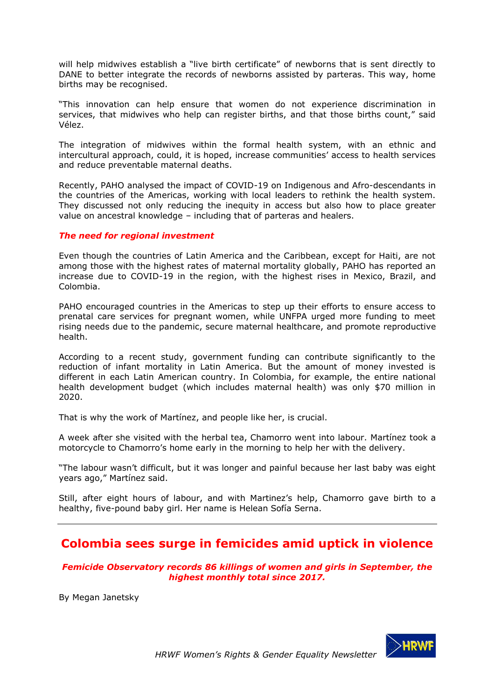will help midwives establish a "live birth certificate" of newborns that is sent directly to DANE to better integrate the records of newborns assisted by parteras. This way, home births may be recognised.

"This innovation can help ensure that women do not experience discrimination in services, that midwives who help can register births, and that those births count," said Vélez.

The integration of midwives within the formal health system, with an ethnic and intercultural approach, could, it is hoped, increase communities' access to health services and reduce preventable maternal deaths.

Recently, PAHO analysed the impact of COVID-19 on Indigenous and Afro-descendants in the countries of the Americas, working with local leaders to rethink the health system. They discussed not only reducing the inequity in access but also how to place greater value on ancestral knowledge – including that of parteras and healers.

## *The need for regional investment*

Even though the countries of Latin America and the Caribbean, except for Haiti, are not among those with the highest rates of maternal mortality globally, PAHO has reported an increase due to COVID-19 in the region, with the highest rises in Mexico, Brazil, and Colombia.

PAHO encouraged countries in the Americas to step up their efforts to ensure access to prenatal care services for pregnant women, while UNFPA urged more funding to meet rising needs due to the pandemic, secure maternal healthcare, and promote reproductive health.

According to a recent study, government funding can contribute significantly to the reduction of infant mortality in Latin America. But the amount of money invested is different in each Latin American country. In Colombia, for example, the entire national health development budget (which includes maternal health) was only \$70 million in 2020.

That is why the work of Martínez, and people like her, is crucial.

A week after she visited with the herbal tea, Chamorro went into labour. Martínez took a motorcycle to Chamorro's home early in the morning to help her with the delivery.

"The labour wasn't difficult, but it was longer and painful because her last baby was eight years ago," Martínez said.

Still, after eight hours of labour, and with Martinez's help, Chamorro gave birth to a healthy, five-pound baby girl. Her name is Helean Sofía Serna.

# <span id="page-3-0"></span>**Colombia sees surge in femicides amid uptick in violence**

*Femicide Observatory records 86 killings of women and girls in September, the highest monthly total since 2017.*

By Megan Janetsky

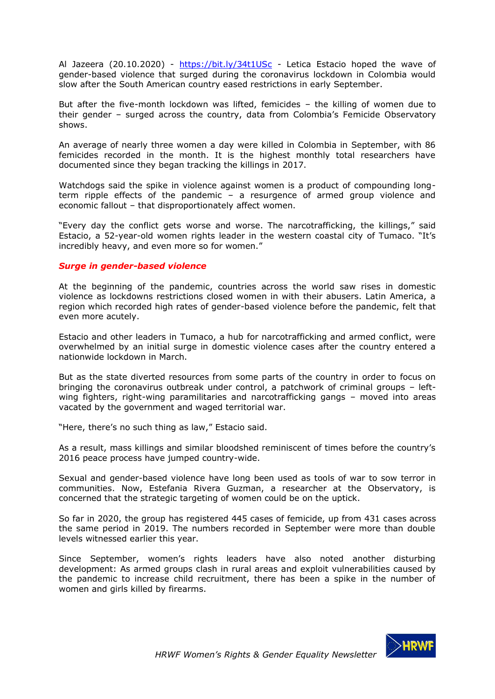Al Jazeera (20.10.2020) - <https://bit.ly/34t1USc> - Letica Estacio hoped the wave of gender-based violence that surged during the coronavirus lockdown in Colombia would slow after the South American country eased restrictions in early September.

But after the five-month lockdown was lifted, femicides – the killing of women due to their gender – surged across the country, data from Colombia's Femicide Observatory shows.

An average of nearly three women a day were killed in Colombia in September, with 86 femicides recorded in the month. It is the highest monthly total researchers have documented since they began tracking the killings in 2017.

Watchdogs said the spike in violence against women is a product of compounding longterm ripple effects of the pandemic – a resurgence of armed group violence and economic fallout – that disproportionately affect women.

"Every day the conflict gets worse and worse. The narcotrafficking, the killings," said Estacio, a 52-year-old women rights leader in the western coastal city of Tumaco. "It's incredibly heavy, and even more so for women."

#### *Surge in gender-based violence*

At the beginning of the pandemic, countries across the world saw rises in domestic violence as lockdowns restrictions closed women in with their abusers. Latin America, a region which recorded high rates of gender-based violence before the pandemic, felt that even more acutely.

Estacio and other leaders in Tumaco, a hub for narcotrafficking and armed conflict, were overwhelmed by an initial surge in domestic violence cases after the country entered a nationwide lockdown in March.

But as the state diverted resources from some parts of the country in order to focus on bringing the coronavirus outbreak under control, a patchwork of criminal groups – leftwing fighters, right-wing paramilitaries and narcotrafficking gangs – moved into areas vacated by the government and waged territorial war.

"Here, there's no such thing as law," Estacio said.

As a result, mass killings and similar bloodshed reminiscent of times before the country's 2016 peace process have jumped country-wide.

Sexual and gender-based violence have long been used as tools of war to sow terror in communities. Now, Estefania Rivera Guzman, a researcher at the Observatory, is concerned that the strategic targeting of women could be on the uptick.

So far in 2020, the group has registered 445 cases of femicide, up from 431 cases across the same period in 2019. The numbers recorded in September were more than double levels witnessed earlier this year.

Since September, women's rights leaders have also noted another disturbing development: As armed groups clash in rural areas and exploit vulnerabilities caused by the pandemic to increase child recruitment, there has been a spike in the number of women and girls killed by firearms.

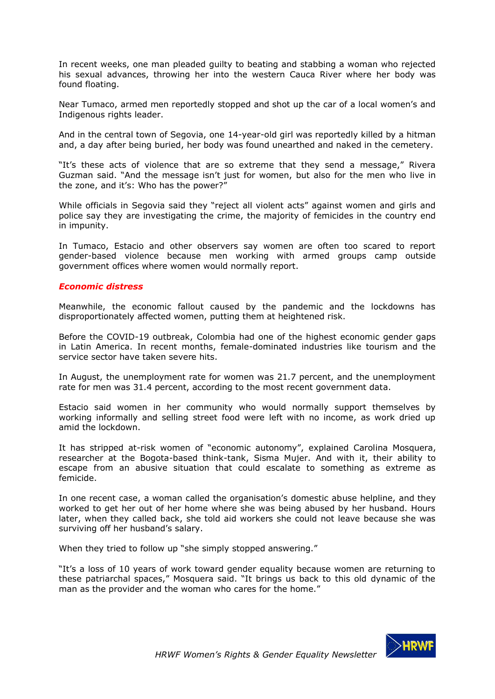In recent weeks, one man pleaded guilty to beating and stabbing a woman who rejected his sexual advances, throwing her into the western Cauca River where her body was found floating.

Near Tumaco, armed men reportedly stopped and shot up the car of a local women's and Indigenous rights leader.

And in the central town of Segovia, one 14-year-old girl was reportedly killed by a hitman and, a day after being buried, her body was found unearthed and naked in the cemetery.

"It's these acts of violence that are so extreme that they send a message," Rivera Guzman said. "And the message isn't just for women, but also for the men who live in the zone, and it's: Who has the power?"

While officials in Segovia said they "reject all violent acts" against women and girls and police say they are investigating the crime, the majority of femicides in the country end in impunity.

In Tumaco, Estacio and other observers say women are often too scared to report gender-based violence because men working with armed groups camp outside government offices where women would normally report.

#### *Economic distress*

Meanwhile, the economic fallout caused by the pandemic and the lockdowns has disproportionately affected women, putting them at heightened risk.

Before the COVID-19 outbreak, Colombia had one of the highest economic gender gaps in Latin America. In recent months, female-dominated industries like tourism and the service sector have taken severe hits.

In August, the unemployment rate for women was 21.7 percent, and the unemployment rate for men was 31.4 percent, according to the most recent government data.

Estacio said women in her community who would normally support themselves by working informally and selling street food were left with no income, as work dried up amid the lockdown.

It has stripped at-risk women of "economic autonomy", explained Carolina Mosquera, researcher at the Bogota-based think-tank, Sisma Mujer. And with it, their ability to escape from an abusive situation that could escalate to something as extreme as femicide.

In one recent case, a woman called the organisation's domestic abuse helpline, and they worked to get her out of her home where she was being abused by her husband. Hours later, when they called back, she told aid workers she could not leave because she was surviving off her husband's salary.

When they tried to follow up "she simply stopped answering."

"It's a loss of 10 years of work toward gender equality because women are returning to these patriarchal spaces," Mosquera said. "It brings us back to this old dynamic of the man as the provider and the woman who cares for the home."